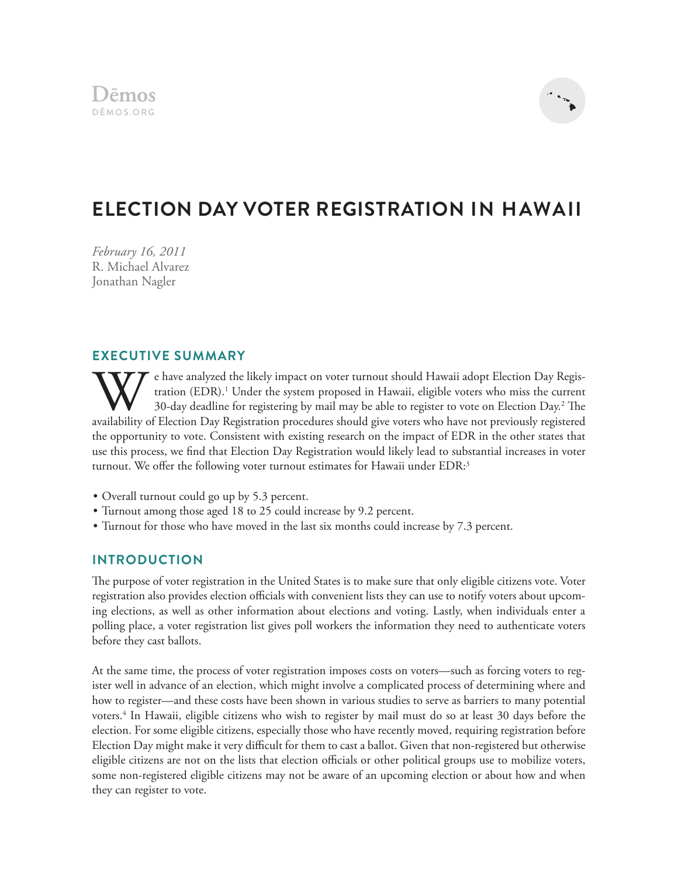

# **ELECTION DAY VOTER REGISTRATION IN HAWAII**

*February 16, 2011* R. Michael Alvarez Jonathan Nagler

# **EXECUTIVE SUMMARY**

e have analyzed the likely impact on voter turnout should Hawaii adopt Election Day Registration (EDR).<sup>1</sup> Under the system proposed in Hawaii, eligible voters who miss the current 30-day deadline for registering by mail may be able to register to vote on Election Day.<sup>2</sup> The availability of Election Day Registration procedures should give voters who have not previously registered the opportunity to vote. Consistent with existing research on the impact of EDR in the other states that use this process, we find that Election Day Registration would likely lead to substantial increases in voter turnout. We offer the following voter turnout estimates for Hawaii under  $EDR$ <sup>3</sup>

- Overall turnout could go up by 5.3 percent.
- Turnout among those aged 18 to 25 could increase by 9.2 percent.
- Turnout for those who have moved in the last six months could increase by 7.3 percent.

## **INTRODUCTION**

The purpose of voter registration in the United States is to make sure that only eligible citizens vote. Voter registration also provides election officials with convenient lists they can use to notify voters about upcoming elections, as well as other information about elections and voting. Lastly, when individuals enter a polling place, a voter registration list gives poll workers the information they need to authenticate voters before they cast ballots.

At the same time, the process of voter registration imposes costs on voters—such as forcing voters to register well in advance of an election, which might involve a complicated process of determining where and how to register—and these costs have been shown in various studies to serve as barriers to many potential voters.4 In Hawaii, eligible citizens who wish to register by mail must do so at least 30 days before the election. For some eligible citizens, especially those who have recently moved, requiring registration before Election Day might make it very difficult for them to cast a ballot. Given that non-registered but otherwise eligible citizens are not on the lists that election officials or other political groups use to mobilize voters, some non-registered eligible citizens may not be aware of an upcoming election or about how and when they can register to vote.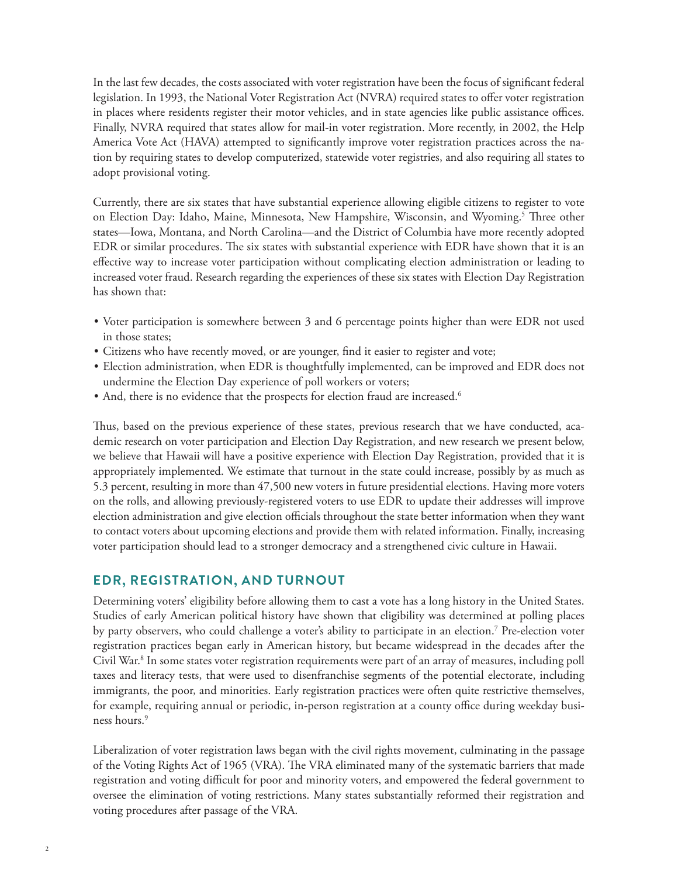In the last few decades, the costs associated with voter registration have been the focus of significant federal legislation. In 1993, the National Voter Registration Act (NVRA) required states to offer voter registration in places where residents register their motor vehicles, and in state agencies like public assistance offices. Finally, NVRA required that states allow for mail-in voter registration. More recently, in 2002, the Help America Vote Act (HAVA) attempted to significantly improve voter registration practices across the nation by requiring states to develop computerized, statewide voter registries, and also requiring all states to adopt provisional voting.

Currently, there are six states that have substantial experience allowing eligible citizens to register to vote on Election Day: Idaho, Maine, Minnesota, New Hampshire, Wisconsin, and Wyoming.<sup>5</sup> Three other states—Iowa, Montana, and North Carolina—and the District of Columbia have more recently adopted EDR or similar procedures. The six states with substantial experience with EDR have shown that it is an effective way to increase voter participation without complicating election administration or leading to increased voter fraud. Research regarding the experiences of these six states with Election Day Registration has shown that:

- Voter participation is somewhere between 3 and 6 percentage points higher than were EDR not used in those states;
- Citizens who have recently moved, or are younger, find it easier to register and vote;
- Election administration, when EDR is thoughtfully implemented, can be improved and EDR does not undermine the Election Day experience of poll workers or voters;
- And, there is no evidence that the prospects for election fraud are increased.<sup>6</sup>

Thus, based on the previous experience of these states, previous research that we have conducted, academic research on voter participation and Election Day Registration, and new research we present below, we believe that Hawaii will have a positive experience with Election Day Registration, provided that it is appropriately implemented. We estimate that turnout in the state could increase, possibly by as much as 5.3 percent, resulting in more than 47,500 new voters in future presidential elections. Having more voters on the rolls, and allowing previously-registered voters to use EDR to update their addresses will improve election administration and give election officials throughout the state better information when they want to contact voters about upcoming elections and provide them with related information. Finally, increasing voter participation should lead to a stronger democracy and a strengthened civic culture in Hawaii.

#### **EDR, REGISTRATION, AND TURNOUT**

Determining voters' eligibility before allowing them to cast a vote has a long history in the United States. Studies of early American political history have shown that eligibility was determined at polling places by party observers, who could challenge a voter's ability to participate in an election.7 Pre-election voter registration practices began early in American history, but became widespread in the decades after the Civil War.<sup>8</sup> In some states voter registration requirements were part of an array of measures, including poll taxes and literacy tests, that were used to disenfranchise segments of the potential electorate, including immigrants, the poor, and minorities. Early registration practices were often quite restrictive themselves, for example, requiring annual or periodic, in-person registration at a county office during weekday business hours.<sup>9</sup>

Liberalization of voter registration laws began with the civil rights movement, culminating in the passage of the Voting Rights Act of 1965 (VRA). The VRA eliminated many of the systematic barriers that made registration and voting difficult for poor and minority voters, and empowered the federal government to oversee the elimination of voting restrictions. Many states substantially reformed their registration and voting procedures after passage of the VRA.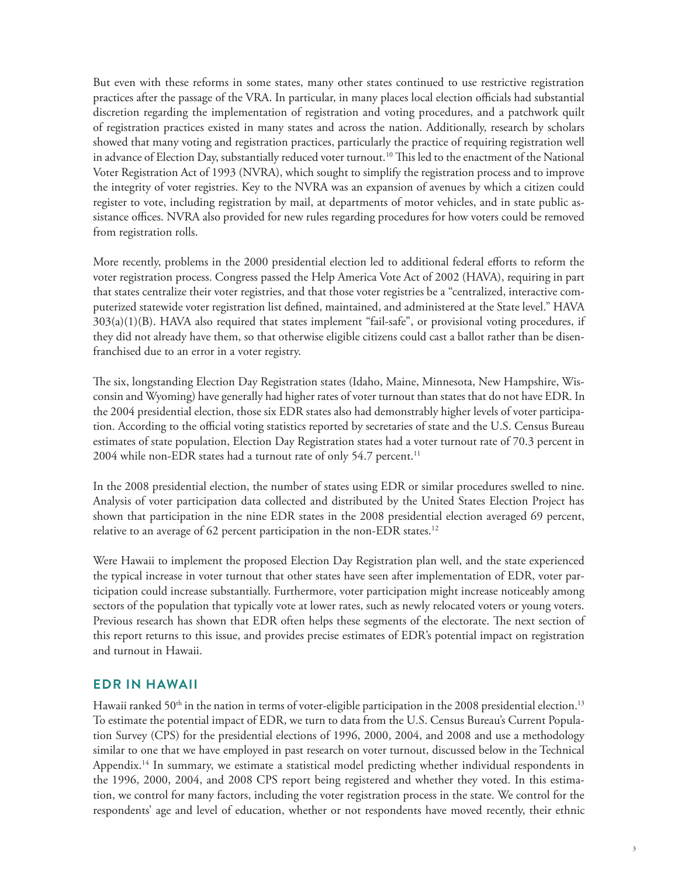But even with these reforms in some states, many other states continued to use restrictive registration practices after the passage of the VRA. In particular, in many places local election officials had substantial discretion regarding the implementation of registration and voting procedures, and a patchwork quilt of registration practices existed in many states and across the nation. Additionally, research by scholars showed that many voting and registration practices, particularly the practice of requiring registration well in advance of Election Day, substantially reduced voter turnout.<sup>10</sup> This led to the enactment of the National Voter Registration Act of 1993 (NVRA), which sought to simplify the registration process and to improve the integrity of voter registries. Key to the NVRA was an expansion of avenues by which a citizen could register to vote, including registration by mail, at departments of motor vehicles, and in state public assistance offices. NVRA also provided for new rules regarding procedures for how voters could be removed from registration rolls.

More recently, problems in the 2000 presidential election led to additional federal efforts to reform the voter registration process. Congress passed the Help America Vote Act of 2002 (HAVA), requiring in part that states centralize their voter registries, and that those voter registries be a "centralized, interactive computerized statewide voter registration list defined, maintained, and administered at the State level." HAVA 303(a)(1)(B). HAVA also required that states implement "fail-safe", or provisional voting procedures, if they did not already have them, so that otherwise eligible citizens could cast a ballot rather than be disenfranchised due to an error in a voter registry.

The six, longstanding Election Day Registration states (Idaho, Maine, Minnesota, New Hampshire, Wisconsin and Wyoming) have generally had higher rates of voter turnout than states that do not have EDR. In the 2004 presidential election, those six EDR states also had demonstrably higher levels of voter participation. According to the official voting statistics reported by secretaries of state and the U.S. Census Bureau estimates of state population, Election Day Registration states had a voter turnout rate of 70.3 percent in 2004 while non-EDR states had a turnout rate of only 54.7 percent.<sup>11</sup>

In the 2008 presidential election, the number of states using EDR or similar procedures swelled to nine. Analysis of voter participation data collected and distributed by the United States Election Project has shown that participation in the nine EDR states in the 2008 presidential election averaged 69 percent, relative to an average of 62 percent participation in the non-EDR states.<sup>12</sup>

Were Hawaii to implement the proposed Election Day Registration plan well, and the state experienced the typical increase in voter turnout that other states have seen after implementation of EDR, voter participation could increase substantially. Furthermore, voter participation might increase noticeably among sectors of the population that typically vote at lower rates, such as newly relocated voters or young voters. Previous research has shown that EDR often helps these segments of the electorate. The next section of this report returns to this issue, and provides precise estimates of EDR's potential impact on registration and turnout in Hawaii.

#### **EDR IN HAWAII**

Hawaii ranked 50<sup>th</sup> in the nation in terms of voter-eligible participation in the 2008 presidential election.<sup>13</sup> To estimate the potential impact of EDR, we turn to data from the U.S. Census Bureau's Current Population Survey (CPS) for the presidential elections of 1996, 2000, 2004, and 2008 and use a methodology similar to one that we have employed in past research on voter turnout, discussed below in the Technical Appendix.14 In summary, we estimate a statistical model predicting whether individual respondents in the 1996, 2000, 2004, and 2008 CPS report being registered and whether they voted. In this estimation, we control for many factors, including the voter registration process in the state. We control for the respondents' age and level of education, whether or not respondents have moved recently, their ethnic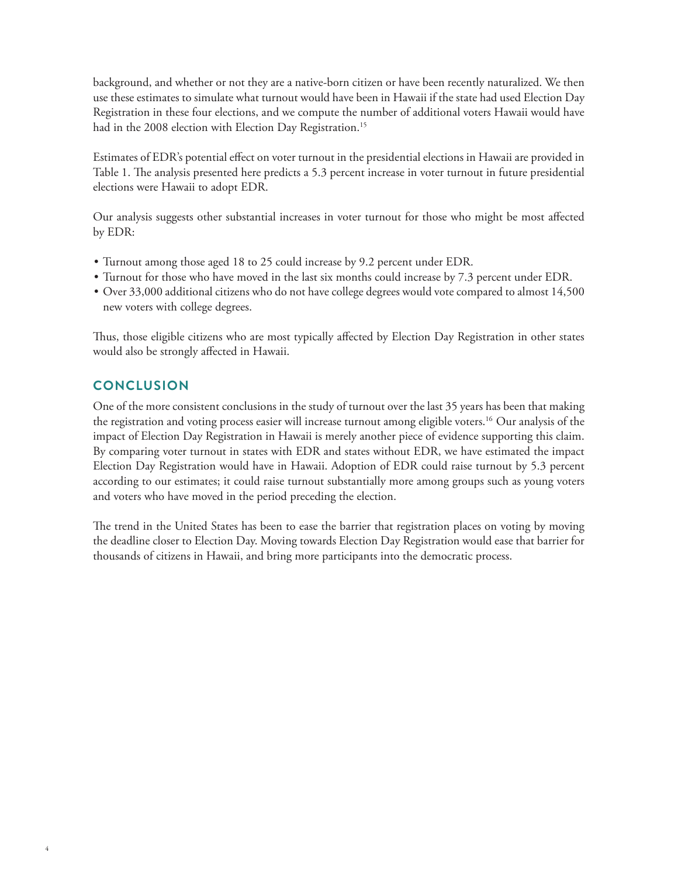background, and whether or not they are a native-born citizen or have been recently naturalized. We then use these estimates to simulate what turnout would have been in Hawaii if the state had used Election Day Registration in these four elections, and we compute the number of additional voters Hawaii would have had in the 2008 election with Election Day Registration.<sup>15</sup>

Estimates of EDR's potential effect on voter turnout in the presidential elections in Hawaii are provided in Table 1. The analysis presented here predicts a 5.3 percent increase in voter turnout in future presidential elections were Hawaii to adopt EDR.

Our analysis suggests other substantial increases in voter turnout for those who might be most a#ected by EDR:

- Turnout among those aged 18 to 25 could increase by 9.2 percent under EDR.
- Turnout for those who have moved in the last six months could increase by 7.3 percent under EDR.
- Over 33,000 additional citizens who do not have college degrees would vote compared to almost 14,500 new voters with college degrees.

Thus, those eligible citizens who are most typically affected by Election Day Registration in other states would also be strongly affected in Hawaii.

# **CONCLUSION**

One of the more consistent conclusions in the study of turnout over the last 35 years has been that making the registration and voting process easier will increase turnout among eligible voters.16 Our analysis of the impact of Election Day Registration in Hawaii is merely another piece of evidence supporting this claim. By comparing voter turnout in states with EDR and states without EDR, we have estimated the impact Election Day Registration would have in Hawaii. Adoption of EDR could raise turnout by 5.3 percent according to our estimates; it could raise turnout substantially more among groups such as young voters and voters who have moved in the period preceding the election.

The trend in the United States has been to ease the barrier that registration places on voting by moving the deadline closer to Election Day. Moving towards Election Day Registration would ease that barrier for thousands of citizens in Hawaii, and bring more participants into the democratic process.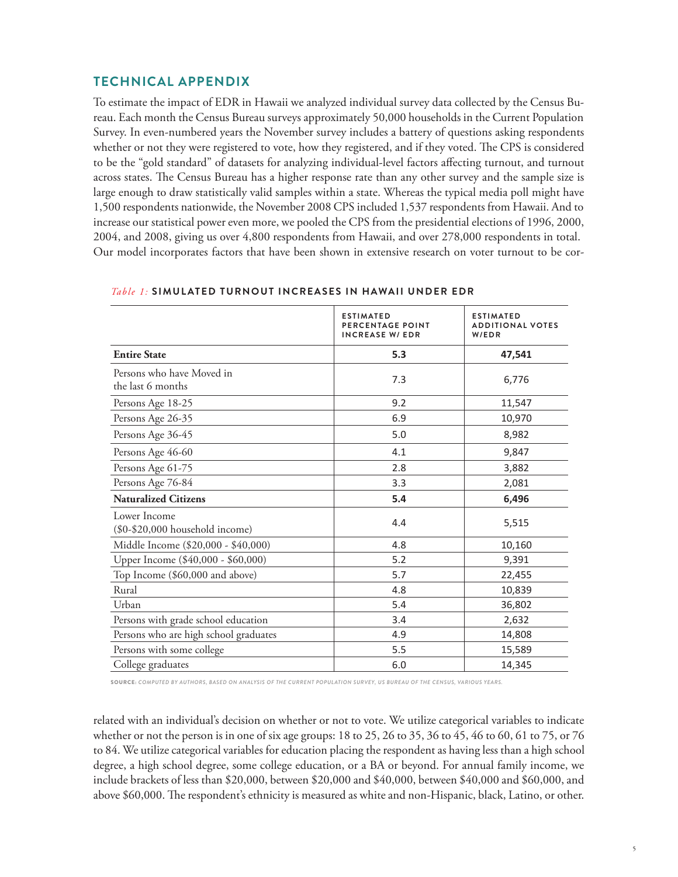# **TECHNICAL APPENDIX**

To estimate the impact of EDR in Hawaii we analyzed individual survey data collected by the Census Bureau. Each month the Census Bureau surveys approximately 50,000 households in the Current Population Survey. In even-numbered years the November survey includes a battery of questions asking respondents whether or not they were registered to vote, how they registered, and if they voted. The CPS is considered to be the "gold standard" of datasets for analyzing individual-level factors a#ecting turnout, and turnout across states. The Census Bureau has a higher response rate than any other survey and the sample size is large enough to draw statistically valid samples within a state. Whereas the typical media poll might have 1,500 respondents nationwide, the November 2008 CPS included 1,537 respondents from Hawaii. And to increase our statistical power even more, we pooled the CPS from the presidential elections of 1996, 2000, 2004, and 2008, giving us over 4,800 respondents from Hawaii, and over 278,000 respondents in total. Our model incorporates factors that have been shown in extensive research on voter turnout to be cor-

|                                                     | <b>ESTIMATED</b><br>PERCENTAGE POINT<br><b>INCREASE W/ EDR</b> | <b>ESTIMATED</b><br><b>ADDITIONAL VOTES</b><br>W/EDR |
|-----------------------------------------------------|----------------------------------------------------------------|------------------------------------------------------|
| <b>Entire State</b>                                 | 5.3                                                            | 47,541                                               |
| Persons who have Moved in<br>the last 6 months      | 7.3                                                            | 6,776                                                |
| Persons Age 18-25                                   | 9.2                                                            | 11,547                                               |
| Persons Age 26-35                                   | 6.9                                                            | 10,970                                               |
| Persons Age 36-45                                   | 5.0                                                            | 8,982                                                |
| Persons Age 46-60                                   | 4.1                                                            | 9,847                                                |
| Persons Age 61-75                                   | 2.8                                                            | 3,882                                                |
| Persons Age 76-84                                   | 3.3                                                            | 2,081                                                |
| <b>Naturalized Citizens</b>                         | 5.4                                                            | 6,496                                                |
| Lower Income<br>$(\$0 - \$20,000$ household income) | 4.4                                                            | 5,515                                                |
| Middle Income (\$20,000 - \$40,000)                 | 4.8                                                            | 10,160                                               |
| Upper Income (\$40,000 - \$60,000)                  | 5.2                                                            | 9,391                                                |
| Top Income (\$60,000 and above)                     | 5.7                                                            | 22,455                                               |
| Rural                                               | 4.8                                                            | 10,839                                               |
| Urban                                               | 5.4                                                            | 36,802                                               |
| Persons with grade school education                 | 3.4                                                            | 2,632                                                |
| Persons who are high school graduates               | 4.9                                                            | 14,808                                               |
| Persons with some college                           | 5.5                                                            | 15,589                                               |
| College graduates                                   | 6.0                                                            | 14,345                                               |

#### **Table 1: SIMULATED TURNOUT INCREASES IN HAWAII UNDER EDR**

SOURCE: *COMPUTED BY AUTHORS, BASED ON ANALYSIS OF THE CURRENT POPULATION SURVEY, US BUREAU OF THE CENSUS, VARIOUS YEARS.*

related with an individual's decision on whether or not to vote. We utilize categorical variables to indicate whether or not the person is in one of six age groups: 18 to 25, 26 to 35, 36 to 45, 46 to 60, 61 to 75, or 76 to 84. We utilize categorical variables for education placing the respondent as having less than a high school degree, a high school degree, some college education, or a BA or beyond. For annual family income, we include brackets of less than \$20,000, between \$20,000 and \$40,000, between \$40,000 and \$60,000, and above \$60,000. The respondent's ethnicity is measured as white and non-Hispanic, black, Latino, or other.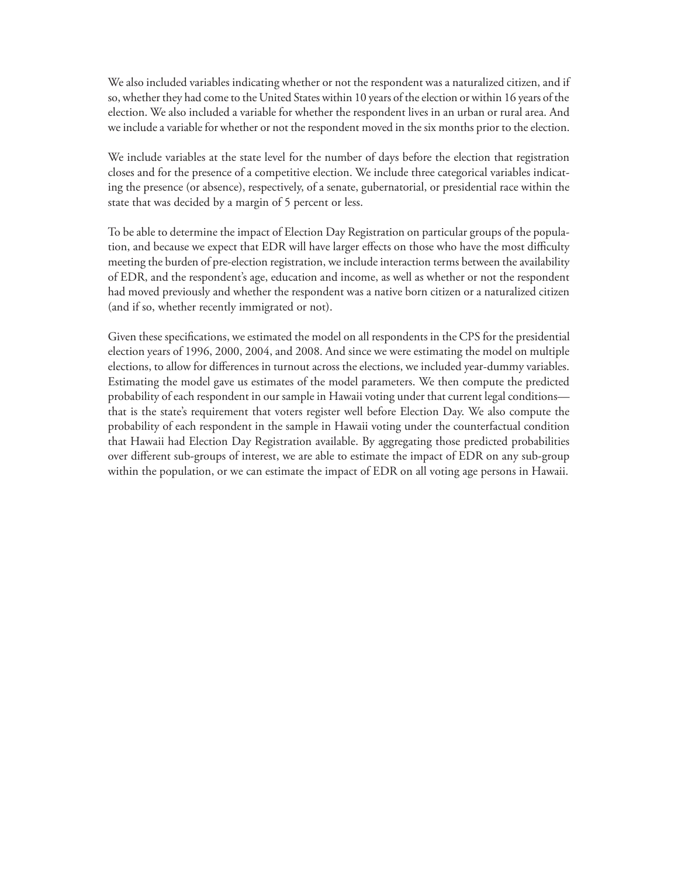We also included variables indicating whether or not the respondent was a naturalized citizen, and if so, whether they had come to the United States within 10 years of the election or within 16 years of the election. We also included a variable for whether the respondent lives in an urban or rural area. And we include a variable for whether or not the respondent moved in the six months prior to the election.

We include variables at the state level for the number of days before the election that registration closes and for the presence of a competitive election. We include three categorical variables indicating the presence (or absence), respectively, of a senate, gubernatorial, or presidential race within the state that was decided by a margin of 5 percent or less.

To be able to determine the impact of Election Day Registration on particular groups of the population, and because we expect that EDR will have larger effects on those who have the most difficulty meeting the burden of pre-election registration, we include interaction terms between the availability of EDR, and the respondent's age, education and income, as well as whether or not the respondent had moved previously and whether the respondent was a native born citizen or a naturalized citizen (and if so, whether recently immigrated or not).

Given these specifications, we estimated the model on all respondents in the CPS for the presidential election years of 1996, 2000, 2004, and 2008. And since we were estimating the model on multiple elections, to allow for differences in turnout across the elections, we included year-dummy variables. Estimating the model gave us estimates of the model parameters. We then compute the predicted probability of each respondent in our sample in Hawaii voting under that current legal conditions that is the state's requirement that voters register well before Election Day. We also compute the probability of each respondent in the sample in Hawaii voting under the counterfactual condition that Hawaii had Election Day Registration available. By aggregating those predicted probabilities over different sub-groups of interest, we are able to estimate the impact of EDR on any sub-group within the population, or we can estimate the impact of EDR on all voting age persons in Hawaii.